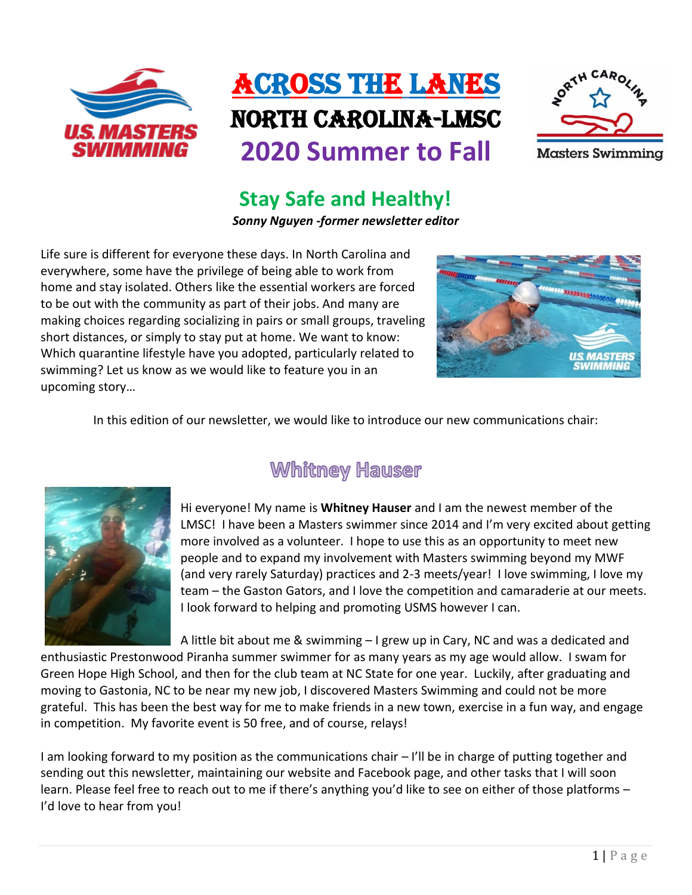





## **Stay Safe and Healthy!**

*Sonny Nguyen -former newsletter editor*

Life sure is different for everyone these days. In North Carolina and everywhere, some have the privilege of being able to work from home and stay isolated. Others like the essential workers are forced to be out with the community as part of their jobs. And many are making choices regarding socializing in pairs or small groups, traveling short distances, or simply to stay put at home. We want to know: Which quarantine lifestyle have you adopted, particularly related to swimming? Let us know as we would like to feature you in an upcoming story…



In this edition of our newsletter, we would like to introduce our new communications chair:



### **Whitney Hauser**

Hi everyone! My name is **Whitney Hauser** and I am the newest member of the LMSC! I have been a Masters swimmer since 2014 and I'm very excited about getting more involved as a volunteer. I hope to use this as an opportunity to meet new people and to expand my involvement with Masters swimming beyond my MWF (and very rarely Saturday) practices and 2-3 meets/year! I love swimming, I love my team – the Gaston Gators, and I love the competition and camaraderie at our meets. I look forward to helping and promoting USMS however I can.

A little bit about me & swimming – I grew up in Cary, NC and was a dedicated and

enthusiastic Prestonwood Piranha summer swimmer for as many years as my age would allow. I swam for Green Hope High School, and then for the club team at NC State for one year. Luckily, after graduating and moving to Gastonia, NC to be near my new job, I discovered Masters Swimming and could not be more grateful. This has been the best way for me to make friends in a new town, exercise in a fun way, and engage in competition. My favorite event is 50 free, and of course, relays!

I am looking forward to my position as the communications chair – I'll be in charge of putting together and sending out this newsletter, maintaining our website and Facebook page, and other tasks that I will soon learn. Please feel free to reach out to me if there's anything you'd like to see on either of those platforms – I'd love to hear from you!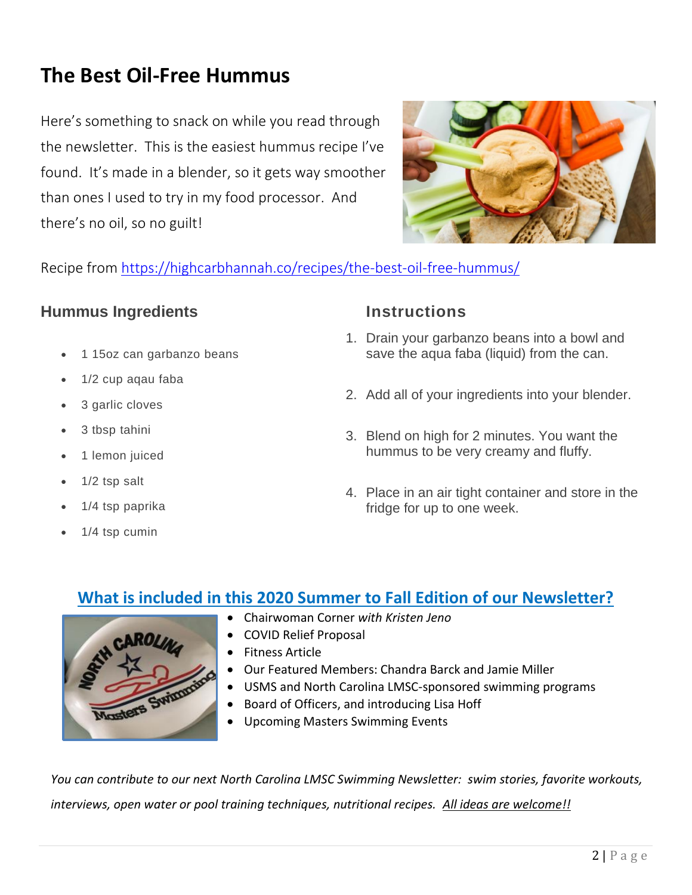## **The Best Oil-Free Hummus**

Here's something to snack on while you read through the newsletter. This is the easiest hummus recipe I've found. It's made in a blender, so it gets way smoother than ones I used to try in my food processor. And there's no oil, so no guilt!



Recipe from <https://highcarbhannah.co/recipes/the-best-oil-free-hummus/>

### **Hummus Ingredients**

- 1 15oz can garbanzo beans
- 1/2 cup aqau faba
- 3 garlic cloves
- 3 tbsp tahini
- 1 lemon juiced
- 1/2 tsp salt
- 1/4 tsp paprika
- 1/4 tsp cumin

#### **Instructions**

- 1. Drain your garbanzo beans into a bowl and save the aqua faba (liquid) from the can.
- 2. Add all of your ingredients into your blender.
- 3. Blend on high for 2 minutes. You want the hummus to be very creamy and fluffy.
- 4. Place in an air tight container and store in the fridge for up to one week.

### **What is included in this 2020 Summer to Fall Edition of our Newsletter?**



- Chairwoman Corner *with Kristen Jeno*
- COVID Relief Proposal
- Fitness Article
- Our Featured Members: Chandra Barck and Jamie Miller
- USMS and North Carolina LMSC-sponsored swimming programs
- Board of Officers, and introducing Lisa Hoff
- Upcoming Masters Swimming Events

*You can contribute to our next North Carolina LMSC Swimming Newsletter: swim stories, favorite workouts, interviews, open water or pool training techniques, nutritional recipes. All ideas are welcome!!*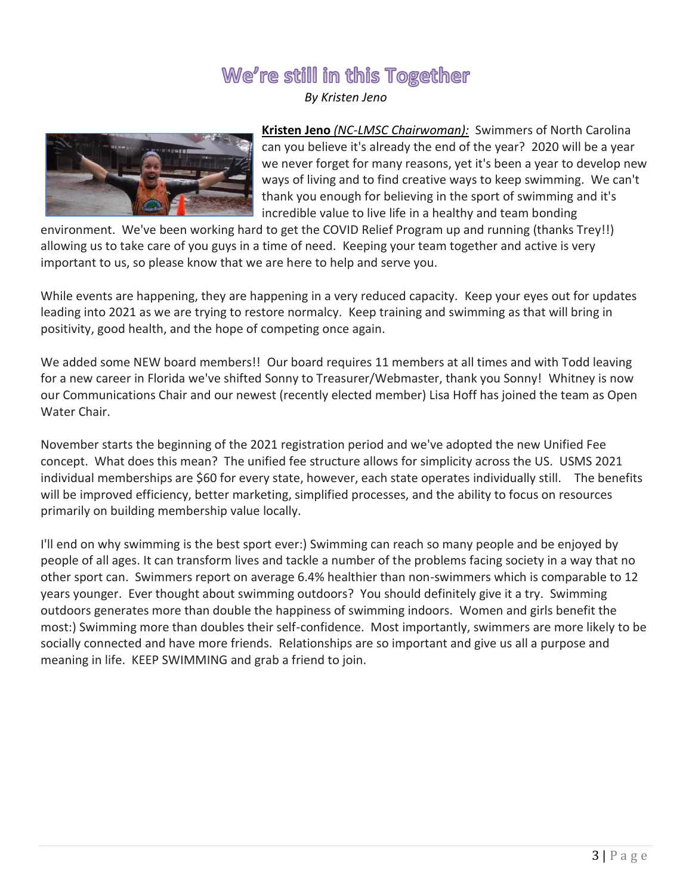### We're still in this Together

*By Kristen Jeno*



**Kristen Jeno** *(NC-LMSC Chairwoman):* Swimmers of North Carolina can you believe it's already the end of the year? 2020 will be a year we never forget for many reasons, yet it's been a year to develop new ways of living and to find creative ways to keep swimming. We can't thank you enough for believing in the sport of swimming and it's incredible value to live life in a healthy and team bonding

environment. We've been working hard to get the COVID Relief Program up and running (thanks Trey!!) allowing us to take care of you guys in a time of need. Keeping your team together and active is very important to us, so please know that we are here to help and serve you.

While events are happening, they are happening in a very reduced capacity. Keep your eyes out for updates leading into 2021 as we are trying to restore normalcy. Keep training and swimming as that will bring in positivity, good health, and the hope of competing once again.

We added some NEW board members!! Our board requires 11 members at all times and with Todd leaving for a new career in Florida we've shifted Sonny to Treasurer/Webmaster, thank you Sonny! Whitney is now our Communications Chair and our newest (recently elected member) Lisa Hoff has joined the team as Open Water Chair.

November starts the beginning of the 2021 registration period and we've adopted the new Unified Fee concept. What does this mean? The unified fee structure allows for simplicity across the US. USMS 2021 individual memberships are \$60 for every state, however, each state operates individually still. The benefits will be improved efficiency, better marketing, simplified processes, and the ability to focus on resources primarily on building membership value locally.

I'll end on why swimming is the best sport ever:) Swimming can reach so many people and be enjoyed by people of all ages. It can transform lives and tackle a number of the problems facing society in a way that no other sport can. Swimmers report on average 6.4% healthier than non-swimmers which is comparable to 12 years younger. Ever thought about swimming outdoors? You should definitely give it a try. Swimming outdoors generates more than double the happiness of swimming indoors. Women and girls benefit the most:) Swimming more than doubles their self-confidence. Most importantly, swimmers are more likely to be socially connected and have more friends. Relationships are so important and give us all a purpose and meaning in life. KEEP SWIMMING and grab a friend to join.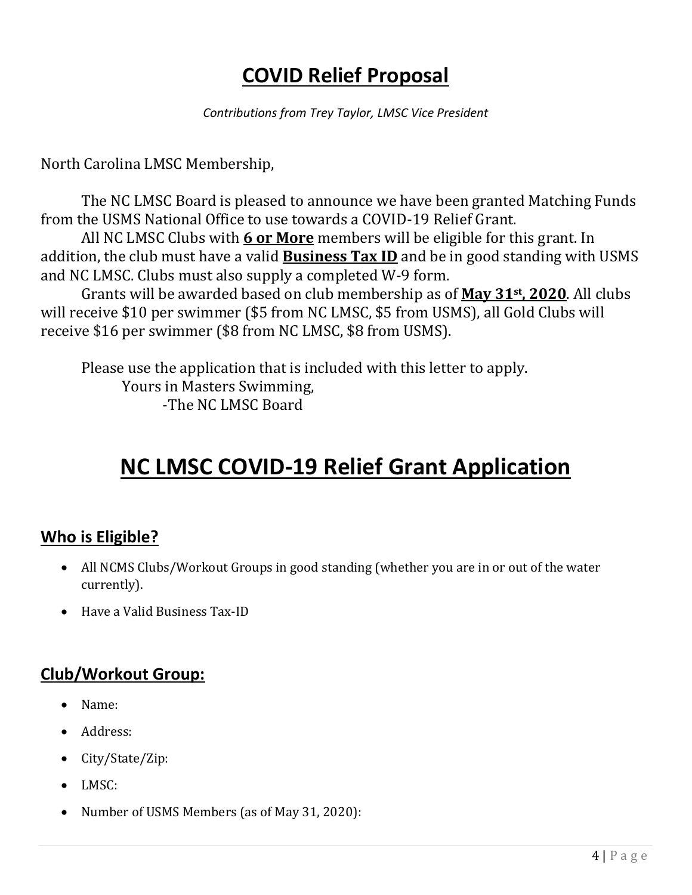## **COVID Relief Proposal**

*Contributions from Trey Taylor, LMSC Vice President*

North Carolina LMSC Membership,

The NC LMSC Board is pleased to announce we have been granted Matching Funds from the USMS National Office to use towards a COVID-19 Relief Grant.

All NC LMSC Clubs with **6 or More** members will be eligible for this grant. In addition, the club must have a valid **Business Tax ID** and be in good standing with USMS and NC LMSC. Clubs must also supply a completed W-9 form.

Grants will be awarded based on club membership as of **May 31st, 2020**. All clubs will receive \$10 per swimmer (\$5 from NC LMSC, \$5 from USMS), all Gold Clubs will receive \$16 per swimmer (\$8 from NC LMSC, \$8 from USMS).

Please use the application that is included with this letter to apply. Yours in Masters Swimming, -The NC LMSC Board

## **NC LMSC COVID-19 Relief Grant Application**

### **Who is Eligible?**

- All NCMS Clubs/Workout Groups in good standing (whether you are in or out of the water currently).
- Have a Valid Business Tax-ID

### **Club/Workout Group:**

- Name:
- Address:
- City/State/Zip:
- LMSC:
- Number of USMS Members (as of May 31, 2020):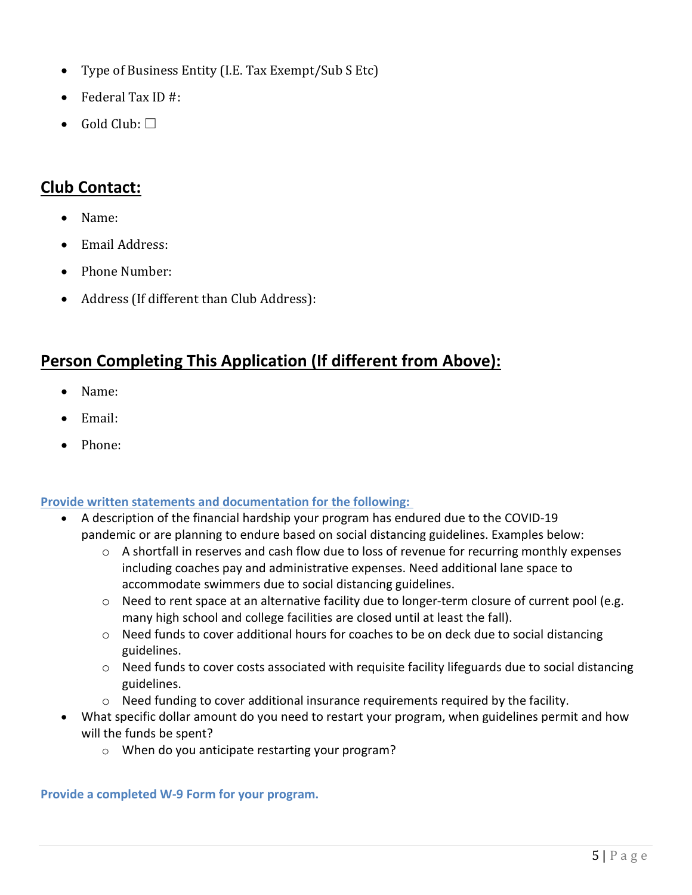- Type of Business Entity (I.E. Tax Exempt/Sub S Etc)
- Federal Tax ID #:
- Gold Club:  $\square$

### **Club Contact:**

- Name:
- Email Address:
- Phone Number:
- Address (If different than Club Address):

### **Person Completing This Application (If different from Above):**

- Name:
- Email:
- Phone:

#### **Provide written statements and documentation for the following:**

- A description of the financial hardship your program has endured due to the COVID-19 pandemic or are planning to endure based on social distancing guidelines. Examples below:
	- $\circ$  A shortfall in reserves and cash flow due to loss of revenue for recurring monthly expenses including coaches pay and administrative expenses. Need additional lane space to accommodate swimmers due to social distancing guidelines.
	- $\circ$  Need to rent space at an alternative facility due to longer-term closure of current pool (e.g. many high school and college facilities are closed until at least the fall).
	- o Need funds to cover additional hours for coaches to be on deck due to social distancing guidelines.
	- o Need funds to cover costs associated with requisite facility lifeguards due to social distancing guidelines.
	- $\circ$  Need funding to cover additional insurance requirements required by the facility.
- What specific dollar amount do you need to restart your program, when guidelines permit and how will the funds be spent?
	- o When do you anticipate restarting your program?

**Provide a completed W-9 Form for your program.**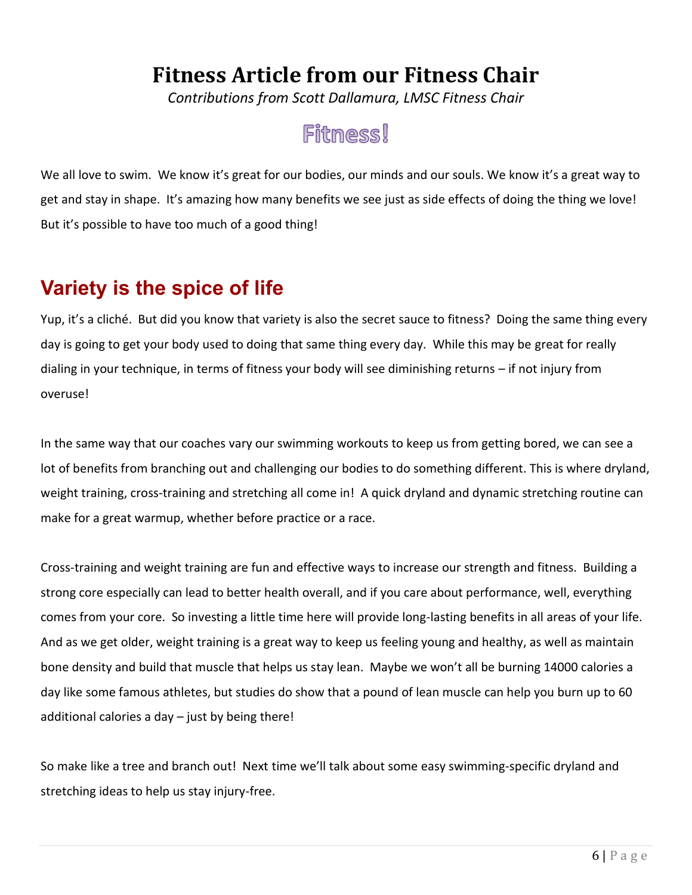## **Fitness Article from our Fitness Chair**

*Contributions from Scott Dallamura, LMSC Fitness Chair*

Fitmess!

We all love to swim. We know it's great for our bodies, our minds and our souls. We know it's a great way to get and stay in shape. It's amazing how many benefits we see just as side effects of doing the thing we love! But it's possible to have too much of a good thing!

### **Variety is the spice of life**

Yup, it's a cliché. But did you know that variety is also the secret sauce to fitness? Doing the same thing every day is going to get your body used to doing that same thing every day. While this may be great for really dialing in your technique, in terms of fitness your body will see diminishing returns – if not injury from overuse!

In the same way that our coaches vary our swimming workouts to keep us from getting bored, we can see a lot of benefits from branching out and challenging our bodies to do something different. This is where dryland, weight training, cross-training and stretching all come in! A quick dryland and dynamic stretching routine can make for a great warmup, whether before practice or a race.

Cross-training and weight training are fun and effective ways to increase our strength and fitness. Building a strong core especially can lead to better health overall, and if you care about performance, well, everything comes from your core. So investing a little time here will provide long-lasting benefits in all areas of your life. And as we get older, weight training is a great way to keep us feeling young and healthy, as well as maintain bone density and build that muscle that helps us stay lean. Maybe we won't all be burning 14000 calories a day like some famous athletes, but studies do show that a pound of lean muscle can help you burn up to 60 additional calories a day – just by being there!

So make like a tree and branch out! Next time we'll talk about some easy swimming-specific dryland and stretching ideas to help us stay injury-free.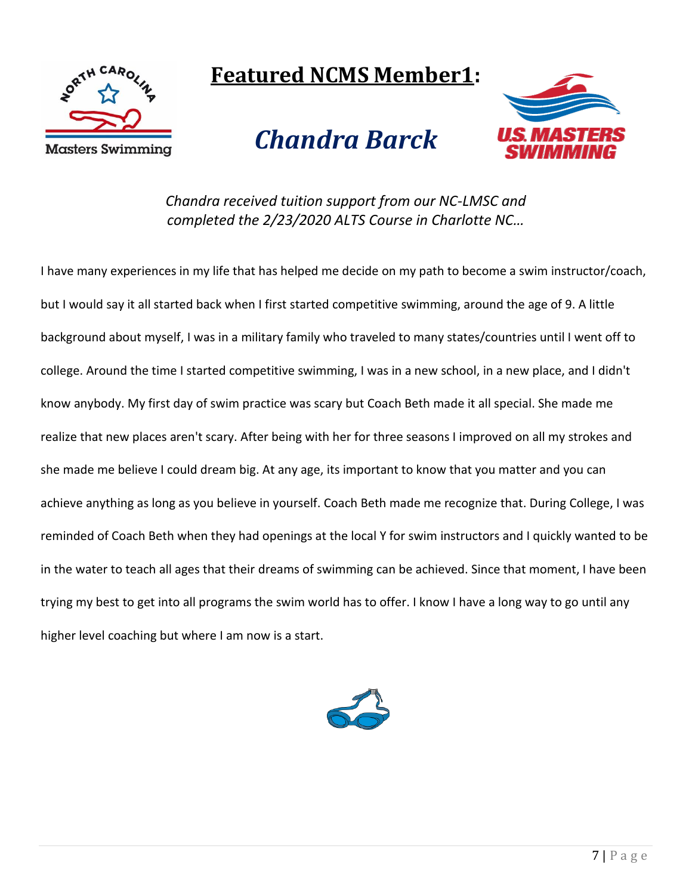

## **Featured NCMS Member1:**

# *Chandra Barck*



*Chandra received tuition support from our NC-LMSC and completed the 2/23/2020 ALTS Course in Charlotte NC…*

I have many experiences in my life that has helped me decide on my path to become a swim instructor/coach, but I would say it all started back when I first started competitive swimming, around the age of 9. A little background about myself, I was in a military family who traveled to many states/countries until I went off to college. Around the time I started competitive swimming, I was in a new school, in a new place, and I didn't know anybody. My first day of swim practice was scary but Coach Beth made it all special. She made me realize that new places aren't scary. After being with her for three seasons I improved on all my strokes and she made me believe I could dream big. At any age, its important to know that you matter and you can achieve anything as long as you believe in yourself. Coach Beth made me recognize that. During College, I was reminded of Coach Beth when they had openings at the local Y for swim instructors and I quickly wanted to be in the water to teach all ages that their dreams of swimming can be achieved. Since that moment, I have been trying my best to get into all programs the swim world has to offer. I know I have a long way to go until any higher level coaching but where I am now is a start.

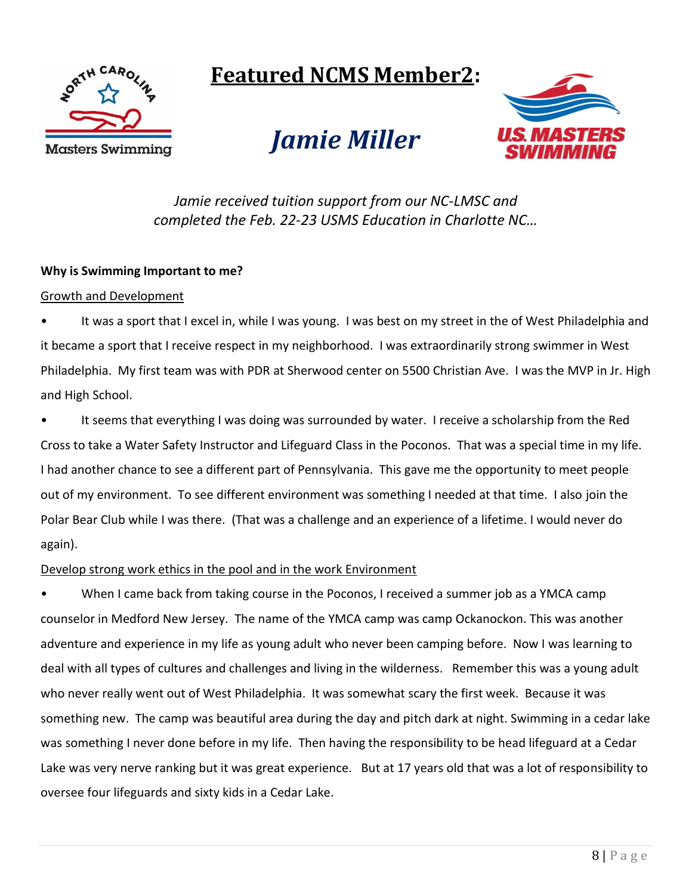

## **Featured NCMS Member2:**

# *Jamie Miller*



### *Jamie received tuition support from our NC-LMSC and completed the Feb. 22-23 USMS Education in Charlotte NC…*

#### **Why is Swimming Important to me?**

#### Growth and Development

It was a sport that I excel in, while I was young. I was best on my street in the of West Philadelphia and it became a sport that I receive respect in my neighborhood. I was extraordinarily strong swimmer in West Philadelphia. My first team was with PDR at Sherwood center on 5500 Christian Ave. I was the MVP in Jr. High and High School.

It seems that everything I was doing was surrounded by water. I receive a scholarship from the Red Cross to take a Water Safety Instructor and Lifeguard Class in the Poconos. That was a special time in my life. I had another chance to see a different part of Pennsylvania. This gave me the opportunity to meet people out of my environment. To see different environment was something I needed at that time. I also join the Polar Bear Club while I was there. (That was a challenge and an experience of a lifetime. I would never do again).

#### Develop strong work ethics in the pool and in the work Environment

• When I came back from taking course in the Poconos, I received a summer job as a YMCA camp counselor in Medford New Jersey. The name of the YMCA camp was camp Ockanockon. This was another adventure and experience in my life as young adult who never been camping before. Now I was learning to deal with all types of cultures and challenges and living in the wilderness. Remember this was a young adult who never really went out of West Philadelphia. It was somewhat scary the first week. Because it was something new. The camp was beautiful area during the day and pitch dark at night. Swimming in a cedar lake was something I never done before in my life. Then having the responsibility to be head lifeguard at a Cedar Lake was very nerve ranking but it was great experience. But at 17 years old that was a lot of responsibility to oversee four lifeguards and sixty kids in a Cedar Lake.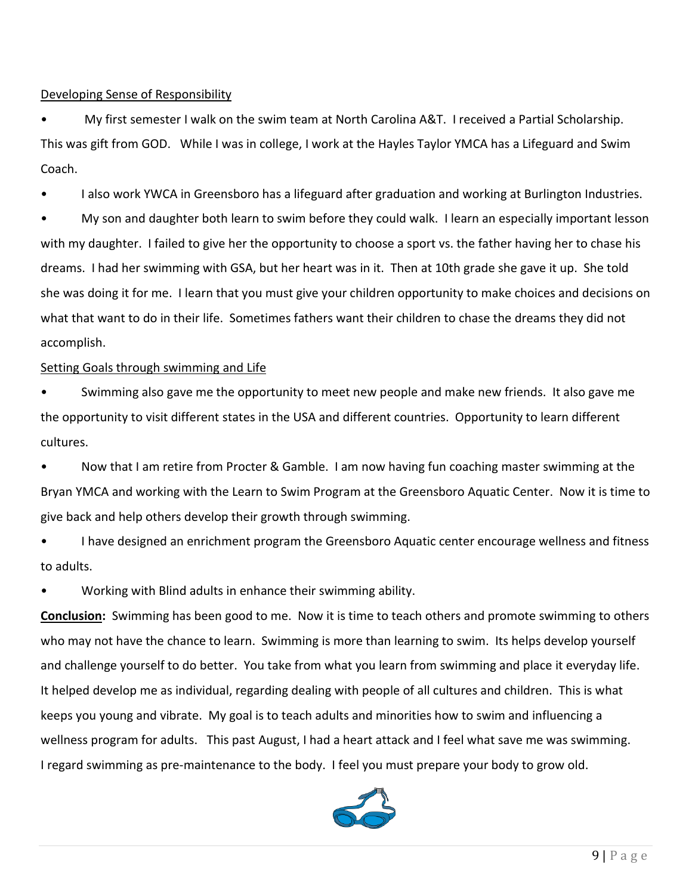#### Developing Sense of Responsibility

• My first semester I walk on the swim team at North Carolina A&T. I received a Partial Scholarship. This was gift from GOD. While I was in college, I work at the Hayles Taylor YMCA has a Lifeguard and Swim Coach.

• I also work YWCA in Greensboro has a lifeguard after graduation and working at Burlington Industries.

• My son and daughter both learn to swim before they could walk. I learn an especially important lesson with my daughter. I failed to give her the opportunity to choose a sport vs. the father having her to chase his dreams. I had her swimming with GSA, but her heart was in it. Then at 10th grade she gave it up. She told she was doing it for me. I learn that you must give your children opportunity to make choices and decisions on what that want to do in their life. Sometimes fathers want their children to chase the dreams they did not accomplish.

#### Setting Goals through swimming and Life

• Swimming also gave me the opportunity to meet new people and make new friends. It also gave me the opportunity to visit different states in the USA and different countries. Opportunity to learn different cultures.

• Now that I am retire from Procter & Gamble. I am now having fun coaching master swimming at the Bryan YMCA and working with the Learn to Swim Program at the Greensboro Aquatic Center. Now it is time to give back and help others develop their growth through swimming.

• I have designed an enrichment program the Greensboro Aquatic center encourage wellness and fitness to adults.

• Working with Blind adults in enhance their swimming ability.

**Conclusion:** Swimming has been good to me. Now it is time to teach others and promote swimming to others who may not have the chance to learn. Swimming is more than learning to swim. Its helps develop yourself and challenge yourself to do better. You take from what you learn from swimming and place it everyday life. It helped develop me as individual, regarding dealing with people of all cultures and children. This is what keeps you young and vibrate. My goal is to teach adults and minorities how to swim and influencing a wellness program for adults. This past August, I had a heart attack and I feel what save me was swimming. I regard swimming as pre-maintenance to the body. I feel you must prepare your body to grow old.

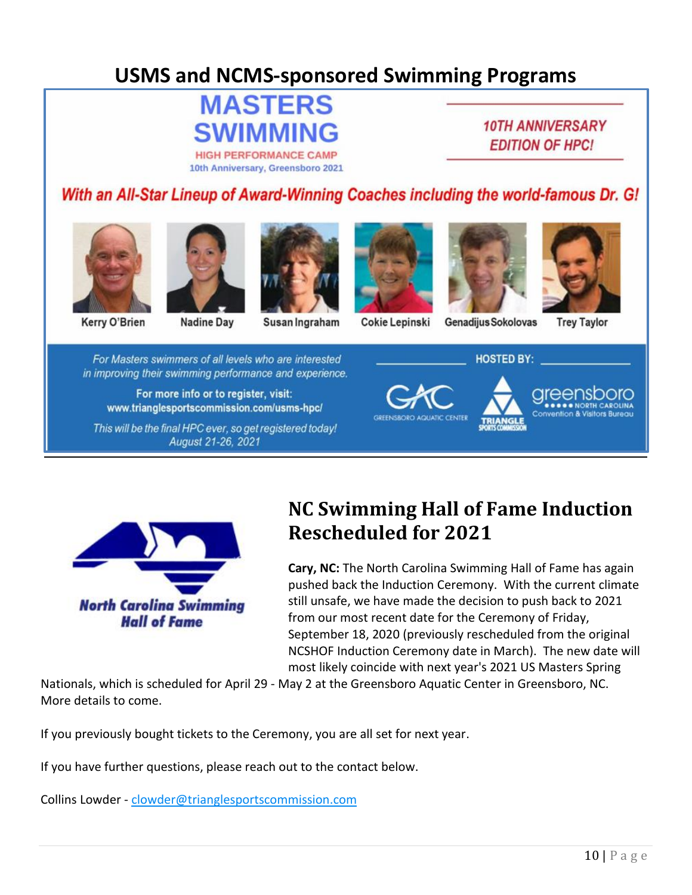## **USMS and NCMS-sponsored Swimming Programs**

### **MASTERS** VIMMIN **HIGH PERFORMANCE CAMP**

10th Anniversary, Greensboro 2021

**10TH ANNIVERSARY EDITION OF HPC!** 

With an All-Star Lineup of Award-Winning Coaches including the world-famous Dr. G!





Kerry O'Brien

**Nadine Day** 

Susan Ingraham

**Cokie Lepinski** 



Genadijus Sokolovas

**HOSTED BY:** 

**Trey Taylor** 

For Masters swimmers of all levels who are interested in improving their swimming performance and experience.

For more info or to reaister, visit: www.trianglesportscommission.com/usms-hpc/

This will be the final HPC ever, so get registered today! August 21-26, 2021





### **NC Swimming Hall of Fame Induction Rescheduled for 2021**

**Cary, NC:** The North Carolina Swimming Hall of Fame has again pushed back the Induction Ceremony. With the current climate still unsafe, we have made the decision to push back to 2021 from our most recent date for the Ceremony of Friday, September 18, 2020 (previously rescheduled from the original NCSHOF Induction Ceremony date in March). The new date will most likely coincide with next year's 2021 US Masters Spring

Nationals, which is scheduled for April 29 - May 2 at the Greensboro Aquatic Center in Greensboro, NC. More details to come.

If you previously bought tickets to the Ceremony, you are all set for next year.

If you have further questions, please reach out to the contact below.

Collins Lowder - [clowder@trianglesportscommission.com](mailto:clowder@trianglesportscommission.com)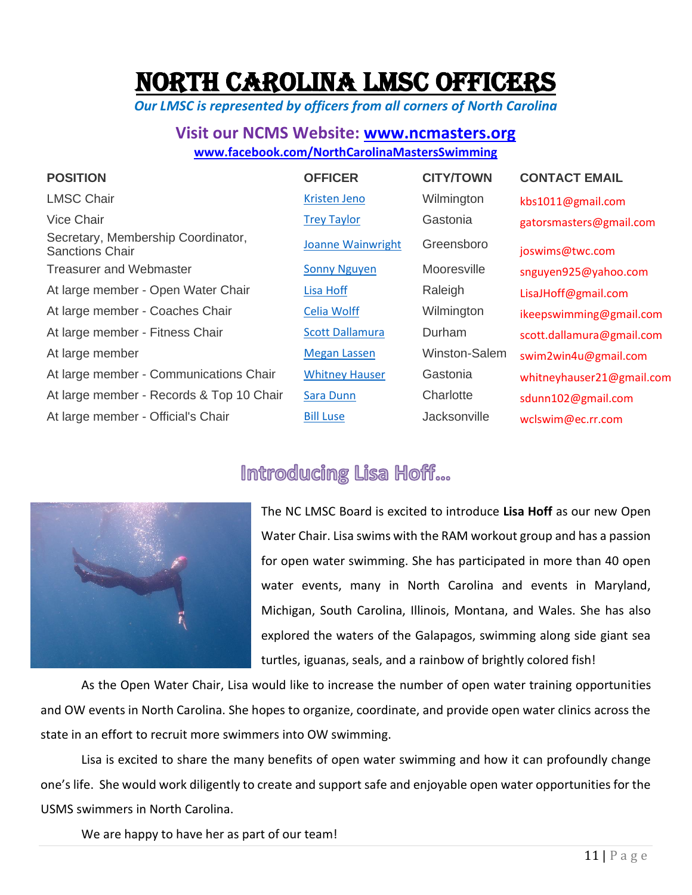# NORTH CAROLINA LMSC OFFICER

*Our LMSC is represented by officers from all corners of North Carolina*

#### **Visit our NCMS Website: [www.ncmasters.org](http://www.ncmasters.org/) [www.facebook.com/NorthCarolinaMastersSwimming](http://www.facebook.com/NorthCarolinaMastersSwimming)**

| <b>POSITION</b>                                              | <b>OFFICER</b>           | <b>CITY/TOWN</b> | <b>CONTACT EMAIL</b>      |
|--------------------------------------------------------------|--------------------------|------------------|---------------------------|
| <b>LMSC Chair</b>                                            | <b>Kristen Jeno</b>      | Wilmington       | kbs1011@gmail.com         |
| Vice Chair                                                   | <b>Trey Taylor</b>       | Gastonia         | gatorsmasters@gmail.com   |
| Secretary, Membership Coordinator,<br><b>Sanctions Chair</b> | <b>Joanne Wainwright</b> | Greensboro       | joswims@twc.com           |
| <b>Treasurer and Webmaster</b>                               | <b>Sonny Nguyen</b>      | Mooresville      | snguyen925@yahoo.com      |
| At large member - Open Water Chair                           | Lisa Hoff                | Raleigh          | LisaJHoff@gmail.com       |
| At large member - Coaches Chair                              | <b>Celia Wolff</b>       | Wilmington       | ikeepswimming@gmail.com   |
| At large member - Fitness Chair                              | <b>Scott Dallamura</b>   | Durham           | scott.dallamura@gmail.com |
| At large member                                              | <b>Megan Lassen</b>      | Winston-Salem    | swim2win4u@gmail.com      |
| At large member - Communications Chair                       | <b>Whitney Hauser</b>    | Gastonia         | whitneyhauser21@gmail.com |
| At large member - Records & Top 10 Chair                     | <b>Sara Dunn</b>         | Charlotte        | sdunn102@gmail.com        |
| At large member - Official's Chair                           | <b>Bill Luse</b>         | Jacksonville     | wclswim@ec.rr.com         |



### Introducing Lisa Hoff...

The NC LMSC Board is excited to introduce **Lisa Hoff** as our new Open Water Chair. Lisa swims with the RAM workout group and has a passion for open water swimming. She has participated in more than 40 open water events, many in North Carolina and events in Maryland, Michigan, South Carolina, Illinois, Montana, and Wales. She has also explored the waters of the Galapagos, swimming along side giant sea turtles, iguanas, seals, and a rainbow of brightly colored fish!

As the Open Water Chair, Lisa would like to increase the number of open water training opportunities and OW events in North Carolina. She hopes to organize, coordinate, and provide open water clinics across the state in an effort to recruit more swimmers into OW swimming.

Lisa is excited to share the many benefits of open water swimming and how it can profoundly change one's life. She would work diligently to create and support safe and enjoyable open water opportunities for the USMS swimmers in North Carolina.

We are happy to have her as part of our team!